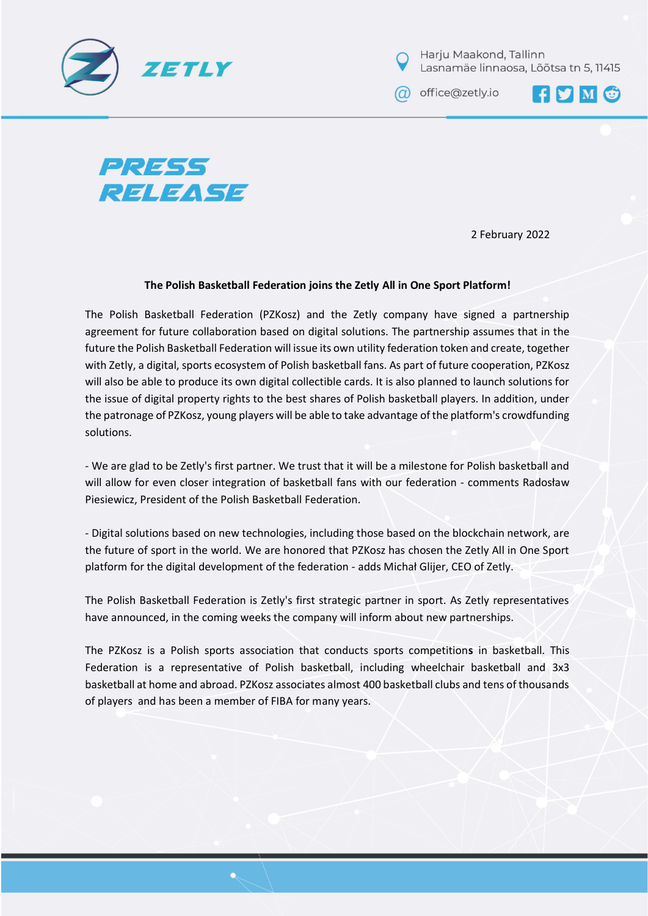

Harju Maakond, Tallinn Lasnamäe linnaosa, Lõõtsa tn 5, 11415

a office@zetly.io





2 February 2022

## **The Polish Basketball Federation joins the Zetly All in One Sport Platform!**

The Polish Basketball Federation (PZKosz) and the Zetly company have signed a partnership agreement for future collaboration based on digital solutions. The partnership assumes that in the future the Polish Basketball Federation will issue its own utility federation token and create, together with Zetly, a digital, sports ecosystem of Polish basketball fans. As part of future cooperation, PZKosz will also be able to produce its own digital collectible cards. It is also planned to launch solutions for the issue of digital property rights to the best shares of Polish basketball players. In addition, under the patronage of PZKosz, young players will be able to take advantage of the platform's crowdfunding solutions.

- We are glad to be Zetly's first partner. We trust that it will be a milestone for Polish basketball and will allow for even closer integration of basketball fans with our federation - comments Radosław Piesiewicz, President of the Polish Basketball Federation.

- Digital solutions based on new technologies, including those based on the blockchain network, are the future of sport in the world. We are honored that PZKosz has chosen the Zetly All in One Sport platform for the digital development of the federation - adds Michał Glijer, CEO of Zetly.

The Polish Basketball Federation is Zetly's first strategic partner in sport. As Zetly representatives have announced, in the coming weeks the company will inform about new partnerships.

The PZKosz is a Polish sports association that conducts sports competition**s** in basketball. This Federation is a representative of Polish basketball, including wheelchair basketball and 3x3 basketball at home and abroad. PZKosz associates almost 400 basketball clubs and tens of thousands of players and has been a member of FIBA for many years.

blockchain technology to create a personalized, multi-level, sports app platform. Zetly creates a unique ecosystem and marketplace for offering club tokens, NFT, sports memorabilia, and a decentralized digital wallet all in one place. Thanks to our platform, clubs can issue their tokens, each